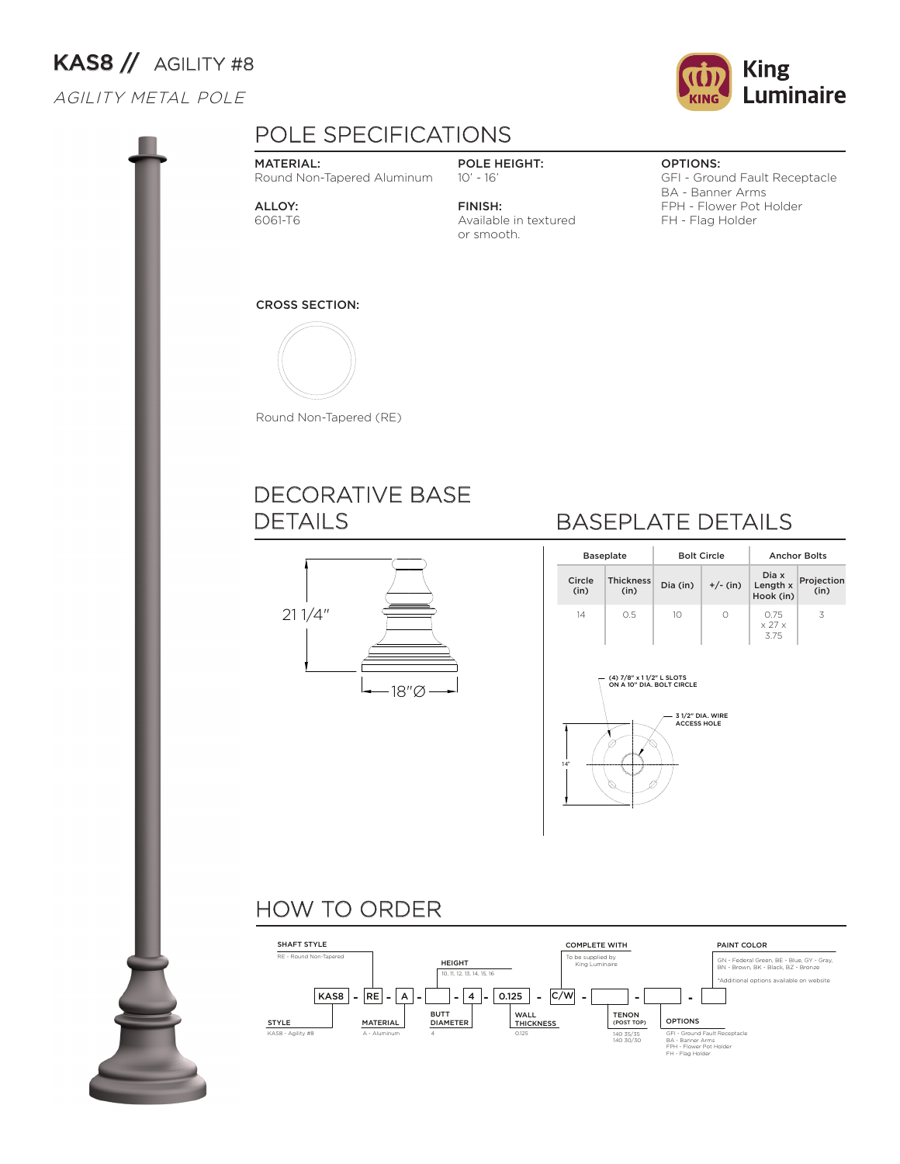# KAS8 // AGILITY #8

### AGILITY METAL POLE



#### MATERIAL:

Round Non-Tapered Aluminum

ALLOY: 6061-T6

POLE HEIGHT: 10' - 16' FINISH:

or smooth.

Available in textured

Luminaire

**King** 

#### OPTIONS:

GFI - Ground Fault Receptacle BA - Banner Arms FPH - Flower Pot Holder FH - Flag Holder

#### CROSS SECTION:



Round Non-Tapered (RE)

### DECORATIVE BASE DETAILS



### BASEPLATE DETAILS

| <b>Baseplate</b> |                          | <b>Bolt Circle</b> |            | <b>Anchor Bolts</b>                  |                    |  |  |
|------------------|--------------------------|--------------------|------------|--------------------------------------|--------------------|--|--|
| Circle<br>(in)   | <b>Thickness</b><br>(in) | Dia (in)           | $+/-$ (in) | Dia x<br>Length x<br>Hook (in)       | Projection<br>(in) |  |  |
| 14               | 0.5                      | 10                 | Ω          | 0.75<br>$\times$ 27 $\times$<br>3.75 | 3                  |  |  |



## HOW TO ORDER